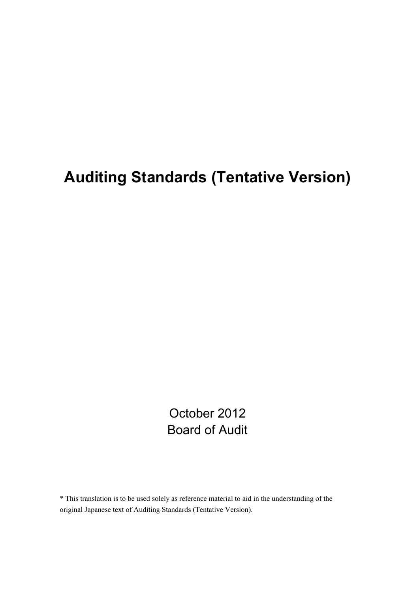# **Auditing Standards (Tentative Version)**

October 2012 Board of Audit

\* This translation is to be used solely as reference material to aid in the understanding of the original Japanese text of Auditing Standards (Tentative Version).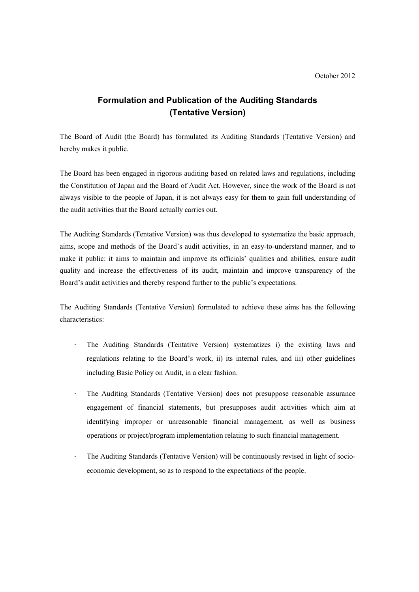# **Formulation and Publication of the Auditing Standards (Tentative Version)**

The Board of Audit (the Board) has formulated its Auditing Standards (Tentative Version) and hereby makes it public.

The Board has been engaged in rigorous auditing based on related laws and regulations, including the Constitution of Japan and the Board of Audit Act. However, since the work of the Board is not always visible to the people of Japan, it is not always easy for them to gain full understanding of the audit activities that the Board actually carries out.

The Auditing Standards (Tentative Version) was thus developed to systematize the basic approach, aims, scope and methods of the Board's audit activities, in an easy-to-understand manner, and to make it public: it aims to maintain and improve its officials' qualities and abilities, ensure audit quality and increase the effectiveness of its audit, maintain and improve transparency of the Board's audit activities and thereby respond further to the public's expectations.

The Auditing Standards (Tentative Version) formulated to achieve these aims has the following characteristics:

- $\ddot{\phantom{a}}$ The Auditing Standards (Tentative Version) systematizes i) the existing laws and regulations relating to the Board's work, ii) its internal rules, and iii) other guidelines including Basic Policy on Audit, in a clear fashion.
- $\mathcal{L}^{\pm}$ The Auditing Standards (Tentative Version) does not presuppose reasonable assurance engagement of financial statements, but presupposes audit activities which aim at identifying improper or unreasonable financial management, as well as business operations or project/program implementation relating to such financial management.
- $\bullet$ The Auditing Standards (Tentative Version) will be continuously revised in light of socioeconomic development, so as to respond to the expectations of the people.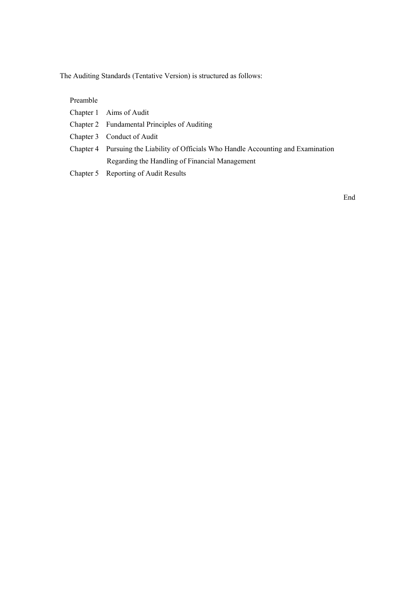The Auditing Standards (Tentative Version) is structured as follows:

Preamble

| Chapter 1 Aims of Audit                                                             |
|-------------------------------------------------------------------------------------|
| Chapter 2 Fundamental Principles of Auditing                                        |
| Chapter 3 Conduct of Audit                                                          |
| Chapter 4 Pursuing the Liability of Officials Who Handle Accounting and Examination |
| Regarding the Handling of Financial Management                                      |
|                                                                                     |

Chapter 5 Reporting of Audit Results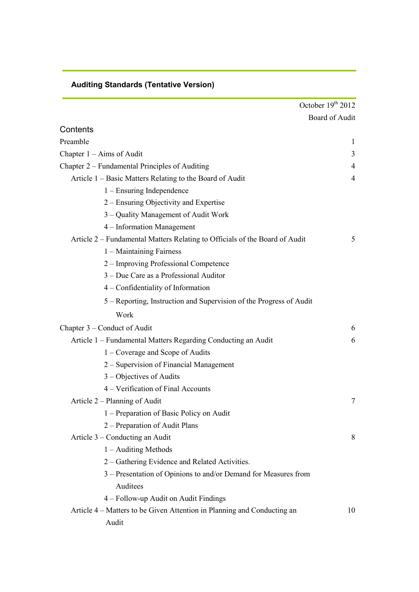|                                                                             | October $19th 2012$   |
|-----------------------------------------------------------------------------|-----------------------|
|                                                                             | <b>Board of Audit</b> |
| Contents                                                                    |                       |
| Preamble                                                                    | 1                     |
| Chapter $1 - Aims$ of Audit                                                 | 3                     |
| Chapter 2 – Fundamental Principles of Auditing                              | $\overline{4}$        |
| Article 1 – Basic Matters Relating to the Board of Audit                    | $\overline{4}$        |
| $1 -$ Ensuring Independence                                                 |                       |
| 2 – Ensuring Objectivity and Expertise                                      |                       |
| 3 – Quality Management of Audit Work                                        |                       |
| 4 – Information Management                                                  |                       |
| Article 2 – Fundamental Matters Relating to Officials of the Board of Audit | 5                     |
| $1 -$ Maintaining Fairness                                                  |                       |
| 2 – Improving Professional Competence                                       |                       |
| 3 – Due Care as a Professional Auditor                                      |                       |
| 4 - Confidentiality of Information                                          |                       |
| 5 – Reporting, Instruction and Supervision of the Progress of Audit         |                       |
| Work                                                                        |                       |
| Chapter 3 – Conduct of Audit                                                | 6                     |
| Article 1 – Fundamental Matters Regarding Conducting an Audit               | 6                     |
| 1 – Coverage and Scope of Audits                                            |                       |
| 2 – Supervision of Financial Management                                     |                       |
| 3 – Objectives of Audits                                                    |                       |
| 4 – Verification of Final Accounts                                          |                       |
| Article 2 – Planning of Audit                                               | 7                     |
| 1 – Preparation of Basic Policy on Audit                                    |                       |
| 2 - Preparation of Audit Plans                                              |                       |
| Article 3 – Conducting an Audit                                             | 8                     |
| $1 -$ Auditing Methods                                                      |                       |
| 2 - Gathering Evidence and Related Activities.                              |                       |
| 3 - Presentation of Opinions to and/or Demand for Measures from             |                       |
| Auditees                                                                    |                       |
| 4 – Follow-up Audit on Audit Findings                                       |                       |
| Article 4 – Matters to be Given Attention in Planning and Conducting an     | 10                    |
| Audit                                                                       |                       |

# **Auditing Standards (Tentative Version)**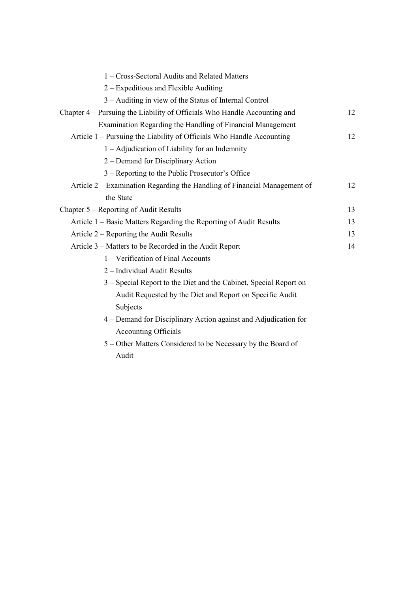| 1 - Cross-Sectoral Audits and Related Matters                             |    |
|---------------------------------------------------------------------------|----|
| $2 -$ Expeditious and Flexible Auditing                                   |    |
| 3 – Auditing in view of the Status of Internal Control                    |    |
| Chapter 4 – Pursuing the Liability of Officials Who Handle Accounting and |    |
| Examination Regarding the Handling of Financial Management                |    |
| Article 1 – Pursuing the Liability of Officials Who Handle Accounting     | 12 |
| 1 – Adjudication of Liability for an Indemnity                            |    |
| 2 – Demand for Disciplinary Action                                        |    |
| 3 – Reporting to the Public Prosecutor's Office                           |    |
| Article 2 – Examination Regarding the Handling of Financial Management of | 12 |
| the State                                                                 |    |
| Chapter 5 – Reporting of Audit Results                                    | 13 |
| Article 1 – Basic Matters Regarding the Reporting of Audit Results        | 13 |
| Article 2 – Reporting the Audit Results                                   | 13 |
| Article 3 – Matters to be Recorded in the Audit Report                    | 14 |
| 1 – Verification of Final Accounts                                        |    |
| 2 - Individual Audit Results                                              |    |
| 3 – Special Report to the Diet and the Cabinet, Special Report on         |    |
| Audit Requested by the Diet and Report on Specific Audit                  |    |
| Subjects                                                                  |    |
| 4 – Demand for Disciplinary Action against and Adjudication for           |    |
| <b>Accounting Officials</b>                                               |    |
| 5 – Other Matters Considered to be Necessary by the Board of              |    |

Audit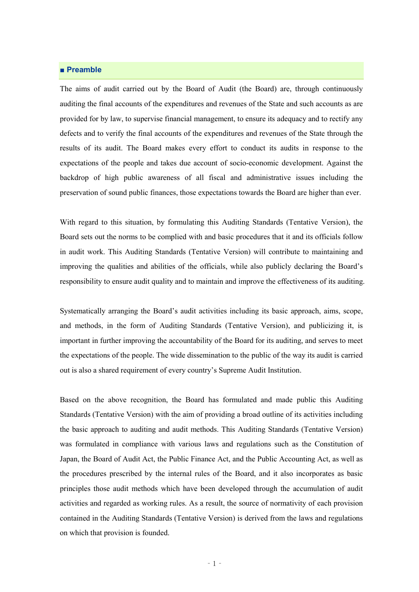# **■ Preamble**

The aims of audit carried out by the Board of Audit (the Board) are, through continuously auditing the final accounts of the expenditures and revenues of the State and such accounts as are provided for by law, to supervise financial management, to ensure its adequacy and to rectify any defects and to verify the final accounts of the expenditures and revenues of the State through the results of its audit. The Board makes every effort to conduct its audits in response to the expectations of the people and takes due account of socio-economic development. Against the backdrop of high public awareness of all fiscal and administrative issues including the preservation of sound public finances, those expectations towards the Board are higher than ever.

With regard to this situation, by formulating this Auditing Standards (Tentative Version), the Board sets out the norms to be complied with and basic procedures that it and its officials follow in audit work. This Auditing Standards (Tentative Version) will contribute to maintaining and improving the qualities and abilities of the officials, while also publicly declaring the Board's responsibility to ensure audit quality and to maintain and improve the effectiveness of its auditing.

Systematically arranging the Board's audit activities including its basic approach, aims, scope, and methods, in the form of Auditing Standards (Tentative Version), and publicizing it, is important in further improving the accountability of the Board for its auditing, and serves to meet the expectations of the people. The wide dissemination to the public of the way its audit is carried out is also a shared requirement of every country's Supreme Audit Institution.

Based on the above recognition, the Board has formulated and made public this Auditing Standards (Tentative Version) with the aim of providing a broad outline of its activities including the basic approach to auditing and audit methods. This Auditing Standards (Tentative Version) was formulated in compliance with various laws and regulations such as the Constitution of Japan, the Board of Audit Act, the Public Finance Act, and the Public Accounting Act, as well as the procedures prescribed by the internal rules of the Board, and it also incorporates as basic principles those audit methods which have been developed through the accumulation of audit activities and regarded as working rules. As a result, the source of normativity of each provision contained in the Auditing Standards (Tentative Version) is derived from the laws and regulations on which that provision is founded.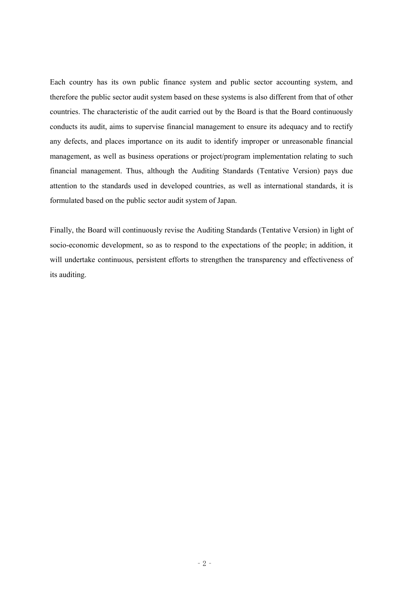Each country has its own public finance system and public sector accounting system, and therefore the public sector audit system based on these systems is also different from that of other countries. The characteristic of the audit carried out by the Board is that the Board continuously conducts its audit, aims to supervise financial management to ensure its adequacy and to rectify any defects, and places importance on its audit to identify improper or unreasonable financial management, as well as business operations or project/program implementation relating to such financial management. Thus, although the Auditing Standards (Tentative Version) pays due attention to the standards used in developed countries, as well as international standards, it is formulated based on the public sector audit system of Japan.

Finally, the Board will continuously revise the Auditing Standards (Tentative Version) in light of socio-economic development, so as to respond to the expectations of the people; in addition, it will undertake continuous, persistent efforts to strengthen the transparency and effectiveness of its auditing.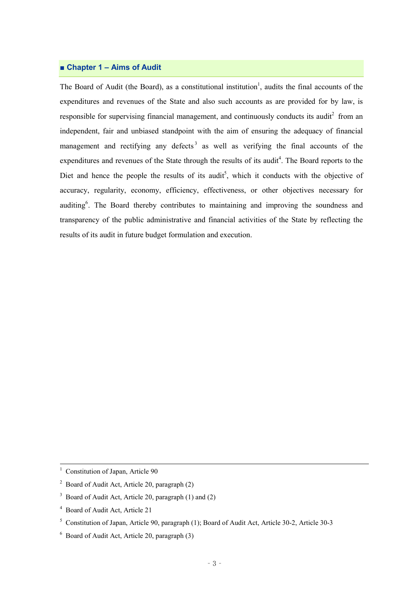# **■ Chapter 1 – Aims of Audit**

The Board of Audit (the Board), as a constitutional institution<sup>1</sup>, audits the final accounts of the expenditures and revenues of the State and also such accounts as are provided for by law, is responsible for supervising financial management, and continuously conducts its audit<sup>2</sup> from an independent, fair and unbiased standpoint with the aim of ensuring the adequacy of financial management and rectifying any defects<sup>3</sup> as well as verifying the final accounts of the expenditures and revenues of the State through the results of its audit<sup>4</sup>. The Board reports to the Diet and hence the people the results of its audit<sup>5</sup>, which it conducts with the objective of accuracy, regularity, economy, efficiency, effectiveness, or other objectives necessary for auditing<sup>6</sup>. The Board thereby contributes to maintaining and improving the soundness and transparency of the public administrative and financial activities of the State by reflecting the results of its audit in future budget formulation and execution.

 $1$  Constitution of Japan, Article 90

<sup>&</sup>lt;sup>2</sup> Board of Audit Act, Article 20, paragraph  $(2)$ 

<sup>&</sup>lt;sup>3</sup> Board of Audit Act, Article 20, paragraph  $(1)$  and  $(2)$ 

<sup>4</sup> Board of Audit Act, Article 21

<sup>5</sup> Constitution of Japan, Article 90, paragraph (1); Board of Audit Act, Article 30-2, Article 30-3

 $6$  Board of Audit Act, Article 20, paragraph (3)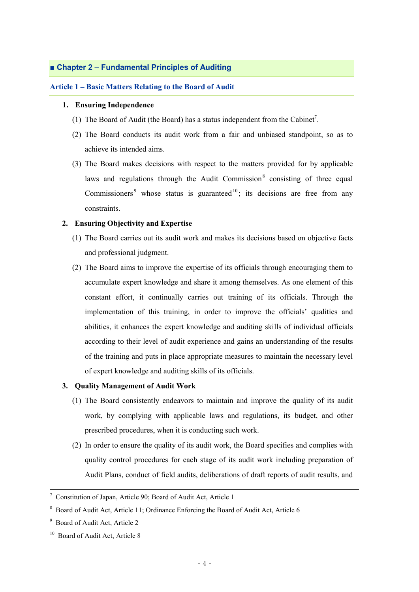# **■ Chapter 2 – Fundamental Principles of Auditing**

#### **Article 1 – Basic Matters Relating to the Board of Audit**

# **1. Ensuring Independence**

- (1) The Board of Audit (the Board) has a status independent from the Cabinet 7 .
- (2) The Board conducts its audit work from a fair and unbiased standpoint, so as to achieve its intended aims.
- (3) The Board makes decisions with respect to the matters provided for by applicable laws and regulations through the Audit Commission<sup>8</sup> consisting of three equal Commissioners<sup>9</sup> whose status is guaranteed<sup>10</sup>; its decisions are free from any constraints.

#### **2. Ensuring Objectivity and Expertise**

- (1) The Board carries out its audit work and makes its decisions based on objective facts and professional judgment.
- (2) The Board aims to improve the expertise of its officials through encouraging them to accumulate expert knowledge and share it among themselves. As one element of this constant effort, it continually carries out training of its officials. Through the implementation of this training, in order to improve the officials' qualities and abilities, it enhances the expert knowledge and auditing skills of individual officials according to their level of audit experience and gains an understanding of the results of the training and puts in place appropriate measures to maintain the necessary level of expert knowledge and auditing skills of its officials.

#### **3. Quality Management of Audit Work**

- (1) The Board consistently endeavors to maintain and improve the quality of its audit work, by complying with applicable laws and regulations, its budget, and other prescribed procedures, when it is conducting such work.
- (2) In order to ensure the quality of its audit work, the Board specifies and complies with quality control procedures for each stage of its audit work including preparation of Audit Plans, conduct of field audits, deliberations of draft reports of audit results, and

<sup>7</sup> Constitution of Japan, Article 90; Board of Audit Act, Article 1

<sup>8</sup> Board of Audit Act, Article 11; Ordinance Enforcing the Board of Audit Act, Article 6

<sup>9</sup> Board of Audit Act, Article 2

<sup>&</sup>lt;sup>10</sup> Board of Audit Act, Article 8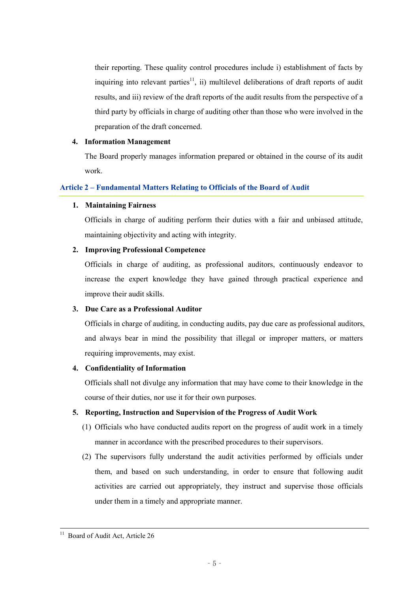their reporting. These quality control procedures include i) establishment of facts by inquiring into relevant parties<sup>11</sup>, ii) multilevel deliberations of draft reports of audit results, and iii) review of the draft reports of the audit results from the perspective of a third party by officials in charge of auditing other than those who were involved in the preparation of the draft concerned.

## **4. Information Management**

The Board properly manages information prepared or obtained in the course of its audit work.

# **Article 2 – Fundamental Matters Relating to Officials of the Board of Audit**

# **1. Maintaining Fairness**

Officials in charge of auditing perform their duties with a fair and unbiased attitude, maintaining objectivity and acting with integrity.

# **2. Improving Professional Competence**

Officials in charge of auditing, as professional auditors, continuously endeavor to increase the expert knowledge they have gained through practical experience and improve their audit skills.

# **3. Due Care as a Professional Auditor**

Officials in charge of auditing, in conducting audits, pay due care as professional auditors, and always bear in mind the possibility that illegal or improper matters, or matters requiring improvements, may exist.

# **4. Confidentiality of Information**

Officials shall not divulge any information that may have come to their knowledge in the course of their duties, nor use it for their own purposes.

# **5. Reporting, Instruction and Supervision of the Progress of Audit Work**

- (1) Officials who have conducted audits report on the progress of audit work in a timely manner in accordance with the prescribed procedures to their supervisors.
- (2) The supervisors fully understand the audit activities performed by officials under them, and based on such understanding, in order to ensure that following audit activities are carried out appropriately, they instruct and supervise those officials under them in a timely and appropriate manner.

Board of Audit Act, Article 26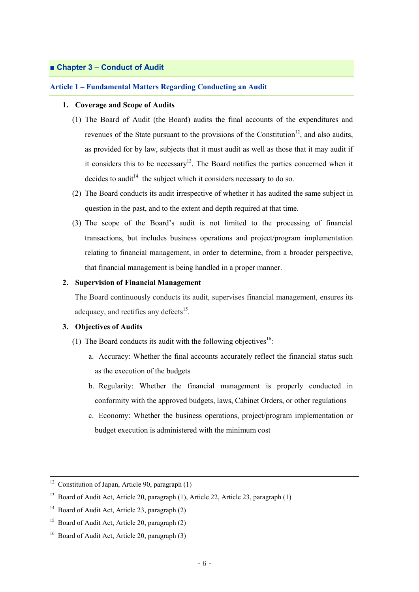# **■ Chapter 3 – Conduct of Audit**

#### **Article 1 – Fundamental Matters Regarding Conducting an Audit**

#### **1. Coverage and Scope of Audits**

- (1) The Board of Audit (the Board) audits the final accounts of the expenditures and revenues of the State pursuant to the provisions of the Constitution<sup>12</sup>, and also audits, as provided for by law, subjects that it must audit as well as those that it may audit if it considers this to be necessary<sup>13</sup>. The Board notifies the parties concerned when it decides to audit<sup>14</sup> the subject which it considers necessary to do so.
- (2) The Board conducts its audit irrespective of whether it has audited the same subject in question in the past, and to the extent and depth required at that time.
- (3) The scope of the Board's audit is not limited to the processing of financial transactions, but includes business operations and project/program implementation relating to financial management, in order to determine, from a broader perspective, that financial management is being handled in a proper manner.

#### **2. Supervision of Financial Management**

The Board continuously conducts its audit, supervises financial management, ensures its adequacy, and rectifies any defects<sup>15</sup>.

# **3. Objectives of Audits**

- (1) The Board conducts its audit with the following objectives<sup>16</sup>:
	- a. Accuracy: Whether the final accounts accurately reflect the financial status such as the execution of the budgets
	- b. Regularity: Whether the financial management is properly conducted in conformity with the approved budgets, laws, Cabinet Orders, or other regulations
	- c. Economy: Whether the business operations, project/program implementation or budget execution is administered with the minimum cost

<sup>&</sup>lt;sup>12</sup> Constitution of Japan, Article 90, paragraph  $(1)$ 

<sup>&</sup>lt;sup>13</sup> Board of Audit Act, Article 20, paragraph (1), Article 22, Article 23, paragraph (1)

 $14$  Board of Audit Act, Article 23, paragraph (2)

<sup>&</sup>lt;sup>15</sup> Board of Audit Act, Article 20, paragraph  $(2)$ 

<sup>&</sup>lt;sup>16</sup> Board of Audit Act, Article 20, paragraph  $(3)$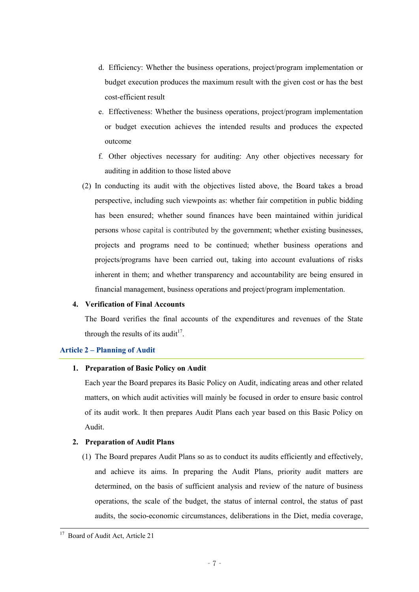- d. Efficiency: Whether the business operations, project/program implementation or budget execution produces the maximum result with the given cost or has the best cost-efficient result
- e. Effectiveness: Whether the business operations, project/program implementation or budget execution achieves the intended results and produces the expected outcome
- f. Other objectives necessary for auditing: Any other objectives necessary for auditing in addition to those listed above
- (2) In conducting its audit with the objectives listed above, the Board takes a broad perspective, including such viewpoints as: whether fair competition in public bidding has been ensured; whether sound finances have been maintained within juridical persons whose capital is contributed by the government; whether existing businesses, projects and programs need to be continued; whether business operations and projects/programs have been carried out, taking into account evaluations of risks inherent in them; and whether transparency and accountability are being ensured in financial management, business operations and project/program implementation.

### **4. Verification of Final Accounts**

The Board verifies the final accounts of the expenditures and revenues of the State through the results of its audit<sup>17</sup>.

# **Article 2 – Planning of Audit**

#### **1. Preparation of Basic Policy on Audit**

Each year the Board prepares its Basic Policy on Audit, indicating areas and other related matters, on which audit activities will mainly be focused in order to ensure basic control of its audit work. It then prepares Audit Plans each year based on this Basic Policy on Audit.

# **2. Preparation of Audit Plans**

(1) The Board prepares Audit Plans so as to conduct its audits efficiently and effectively, and achieve its aims. In preparing the Audit Plans, priority audit matters are determined, on the basis of sufficient analysis and review of the nature of business operations, the scale of the budget, the status of internal control, the status of past audits, the socio-economic circumstances, deliberations in the Diet, media coverage,

Board of Audit Act, Article 21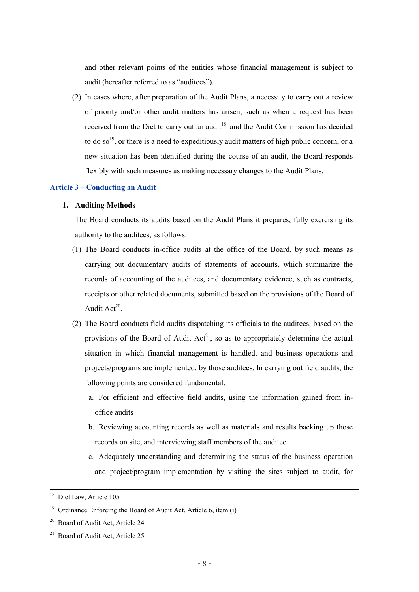and other relevant points of the entities whose financial management is subject to audit (hereafter referred to as "auditees").

(2) In cases where, after preparation of the Audit Plans, a necessity to carry out a review of priority and/or other audit matters has arisen, such as when a request has been received from the Diet to carry out an audit<sup>18</sup> and the Audit Commission has decided to do so<sup>19</sup>, or there is a need to expeditiously audit matters of high public concern, or a new situation has been identified during the course of an audit, the Board responds flexibly with such measures as making necessary changes to the Audit Plans.

#### **Article 3 – Conducting an Audit**

#### **1. Auditing Methods**

The Board conducts its audits based on the Audit Plans it prepares, fully exercising its authority to the auditees, as follows.

- (1) The Board conducts in-office audits at the office of the Board, by such means as carrying out documentary audits of statements of accounts, which summarize the records of accounting of the auditees, and documentary evidence, such as contracts, receipts or other related documents, submitted based on the provisions of the Board of Audit Act<sup>20</sup>.
- (2) The Board conducts field audits dispatching its officials to the auditees, based on the provisions of the Board of Audit  $Act^{21}$ , so as to appropriately determine the actual situation in which financial management is handled, and business operations and projects/programs are implemented, by those auditees. In carrying out field audits, the following points are considered fundamental:
	- a. For efficient and effective field audits, using the information gained from inoffice audits
	- b. Reviewing accounting records as well as materials and results backing up those records on site, and interviewing staff members of the auditee
	- c. Adequately understanding and determining the status of the business operation and project/program implementation by visiting the sites subject to audit, for

<sup>&</sup>lt;sup>18</sup> Diet Law, Article 105

<sup>&</sup>lt;sup>19</sup> Ordinance Enforcing the Board of Audit Act, Article 6, item  $(i)$ 

<sup>&</sup>lt;sup>20</sup> Board of Audit Act, Article 24

<sup>&</sup>lt;sup>21</sup> Board of Audit Act, Article 25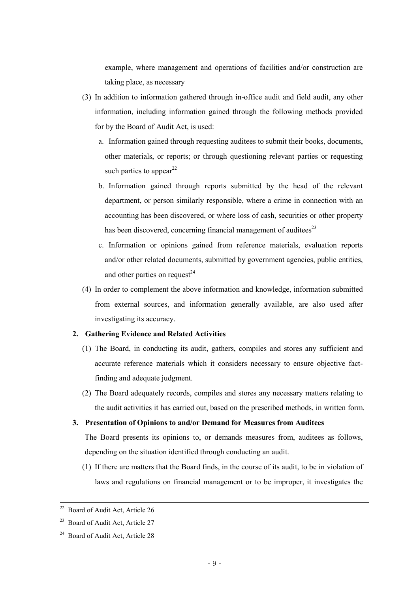example, where management and operations of facilities and/or construction are taking place, as necessary

- (3) In addition to information gathered through in-office audit and field audit, any other information, including information gained through the following methods provided for by the Board of Audit Act, is used:
	- a. Information gained through requesting auditees to submit their books, documents, other materials, or reports; or through questioning relevant parties or requesting such parties to appear<sup>22</sup>
	- b. Information gained through reports submitted by the head of the relevant department, or person similarly responsible, where a crime in connection with an accounting has been discovered, or where loss of cash, securities or other property has been discovered, concerning financial management of auditees<sup>23</sup>
	- c. Information or opinions gained from reference materials, evaluation reports and/or other related documents, submitted by government agencies, public entities, and other parties on request<sup>24</sup>
- (4) In order to complement the above information and knowledge, information submitted from external sources, and information generally available, are also used after investigating its accuracy.

#### **2. Gathering Evidence and Related Activities**

- (1) The Board, in conducting its audit, gathers, compiles and stores any sufficient and accurate reference materials which it considers necessary to ensure objective factfinding and adequate judgment.
- (2) The Board adequately records, compiles and stores any necessary matters relating to the audit activities it has carried out, based on the prescribed methods, in written form.

# **3. Presentation of Opinions to and/or Demand for Measures from Auditees**

The Board presents its opinions to, or demands measures from, auditees as follows, depending on the situation identified through conducting an audit.

(1) If there are matters that the Board finds, in the course of its audit, to be in violation of laws and regulations on financial management or to be improper, it investigates the

<sup>&</sup>lt;sup>22</sup> Board of Audit Act, Article 26

<sup>&</sup>lt;sup>23</sup> Board of Audit Act, Article 27

<sup>&</sup>lt;sup>24</sup> Board of Audit Act, Article 28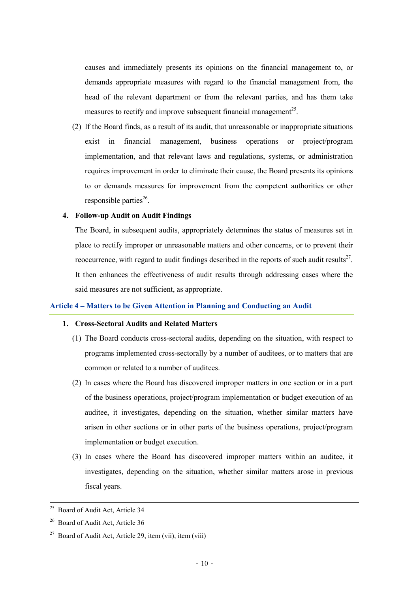causes and immediately presents its opinions on the financial management to, or demands appropriate measures with regard to the financial management from, the head of the relevant department or from the relevant parties, and has them take measures to rectify and improve subsequent financial management<sup>25</sup>.

(2) If the Board finds, as a result of its audit, that unreasonable or inappropriate situations exist in financial management, business operations or project/program implementation, and that relevant laws and regulations, systems, or administration requires improvement in order to eliminate their cause, the Board presents its opinions to or demands measures for improvement from the competent authorities or other responsible parties<sup>26</sup>.

# **4. Follow-up Audit on Audit Findings**

The Board, in subsequent audits, appropriately determines the status of measures set in place to rectify improper or unreasonable matters and other concerns, or to prevent their reoccurrence, with regard to audit findings described in the reports of such audit results $27$ . It then enhances the effectiveness of audit results through addressing cases where the said measures are not sufficient, as appropriate.

#### **Article 4 – Matters to be Given Attention in Planning and Conducting an Audit**

#### **1. Cross-Sectoral Audits and Related Matters**

- (1) The Board conducts cross-sectoral audits, depending on the situation, with respect to programs implemented cross-sectorally by a number of auditees, or to matters that are common or related to a number of auditees.
- (2) In cases where the Board has discovered improper matters in one section or in a part of the business operations, project/program implementation or budget execution of an auditee, it investigates, depending on the situation, whether similar matters have arisen in other sections or in other parts of the business operations, project/program implementation or budget execution.
- (3) In cases where the Board has discovered improper matters within an auditee, it investigates, depending on the situation, whether similar matters arose in previous fiscal years.

<sup>&</sup>lt;sup>25</sup> Board of Audit Act, Article 34

<sup>&</sup>lt;sup>26</sup> Board of Audit Act, Article 36

<sup>&</sup>lt;sup>27</sup> Board of Audit Act, Article 29, item (vii), item (viii)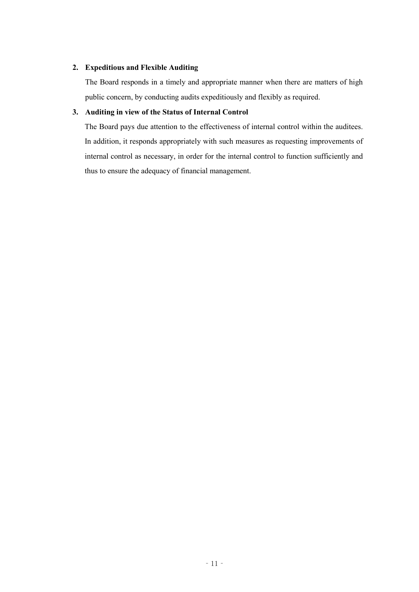# **2. Expeditious and Flexible Auditing**

The Board responds in a timely and appropriate manner when there are matters of high public concern, by conducting audits expeditiously and flexibly as required.

# **3. Auditing in view of the Status of Internal Control**

The Board pays due attention to the effectiveness of internal control within the auditees. In addition, it responds appropriately with such measures as requesting improvements of internal control as necessary, in order for the internal control to function sufficiently and thus to ensure the adequacy of financial management.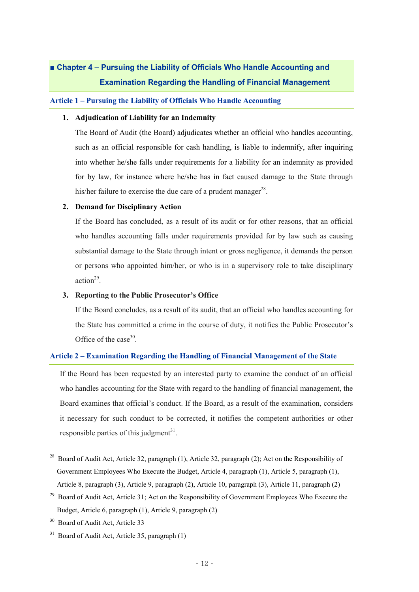# **■ Chapter 4 – Pursuing the Liability of Officials Who Handle Accounting and Examination Regarding the Handling of Financial Management**

# **Article 1 – Pursuing the Liability of Officials Who Handle Accounting**

#### **1. Adjudication of Liability for an Indemnity**

The Board of Audit (the Board) adjudicates whether an official who handles accounting, such as an official responsible for cash handling, is liable to indemnify, after inquiring into whether he/she falls under requirements for a liability for an indemnity as provided for by law, for instance where he/she has in fact caused damage to the State through his/her failure to exercise the due care of a prudent manager<sup>28</sup>.

# **2. Demand for Disciplinary Action**

If the Board has concluded, as a result of its audit or for other reasons, that an official who handles accounting falls under requirements provided for by law such as causing substantial damage to the State through intent or gross negligence, it demands the person or persons who appointed him/her, or who is in a supervisory role to take disciplinary action 29 .

# **3. Reporting to the Public Prosecutor's Office**

If the Board concludes, as a result of its audit, that an official who handles accounting for the State has committed a crime in the course of duty, it notifies the Public Prosecutor's Office of the case<sup>30</sup>.

# **Article 2 – Examination Regarding the Handling of Financial Management of the State**

If the Board has been requested by an interested party to examine the conduct of an official who handles accounting for the State with regard to the handling of financial management, the Board examines that official's conduct. If the Board, as a result of the examination, considers it necessary for such conduct to be corrected, it notifies the competent authorities or other responsible parties of this judgment<sup>31</sup>.

<sup>&</sup>lt;sup>28</sup> Board of Audit Act. Article 32, paragraph (1), Article 32, paragraph (2); Act on the Responsibility of Government Employees Who Execute the Budget, Article 4, paragraph (1), Article 5, paragraph (1), Article 8, paragraph (3), Article 9, paragraph (2), Article 10, paragraph (3), Article 11, paragraph (2)

<sup>&</sup>lt;sup>29</sup> Board of Audit Act, Article 31; Act on the Responsibility of Government Employees Who Execute the Budget, Article 6, paragraph (1), Article 9, paragraph (2)

<sup>&</sup>lt;sup>30</sup> Board of Audit Act, Article 33

 $31$  Board of Audit Act, Article 35, paragraph  $(1)$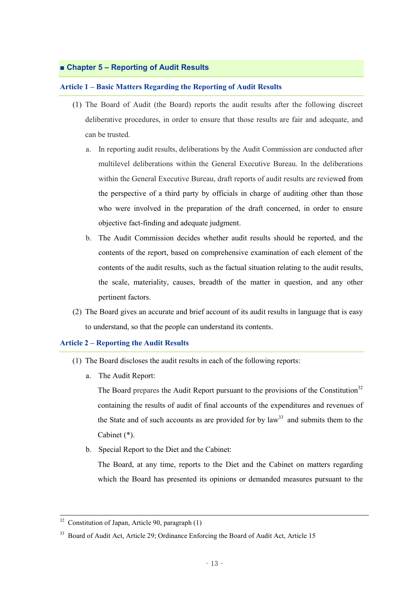# **■ Chapter 5 – Reporting of Audit Results**

#### **Article 1 – Basic Matters Regarding the Reporting of Audit Results**

- (1) The Board of Audit (the Board) reports the audit results after the following discreet deliberative procedures, in order to ensure that those results are fair and adequate, and can be trusted.
	- a. In reporting audit results, deliberations by the Audit Commission are conducted after multilevel deliberations within the General Executive Bureau. In the deliberations within the General Executive Bureau, draft reports of audit results are reviewed from the perspective of a third party by officials in charge of auditing other than those who were involved in the preparation of the draft concerned, in order to ensure objective fact-finding and adequate judgment.
	- b. The Audit Commission decides whether audit results should be reported, and the contents of the report, based on comprehensive examination of each element of the contents of the audit results, such as the factual situation relating to the audit results, the scale, materiality, causes, breadth of the matter in question, and any other pertinent factors.
- (2) The Board gives an accurate and brief account of its audit results in language that is easy to understand, so that the people can understand its contents.

#### **Article 2 – Reporting the Audit Results**

- (1) The Board discloses the audit results in each of the following reports:
	- a. The Audit Report:

The Board prepares the Audit Report pursuant to the provisions of the Constitution<sup>32</sup> containing the results of audit of final accounts of the expenditures and revenues of the State and of such accounts as are provided for by  $law<sup>33</sup>$  and submits them to the Cabinet (\*).

b. Special Report to the Diet and the Cabinet:

The Board, at any time, reports to the Diet and the Cabinet on matters regarding which the Board has presented its opinions or demanded measures pursuant to the

 $32$  Constitution of Japan, Article 90, paragraph (1)

<sup>&</sup>lt;sup>33</sup> Board of Audit Act, Article 29; Ordinance Enforcing the Board of Audit Act, Article 15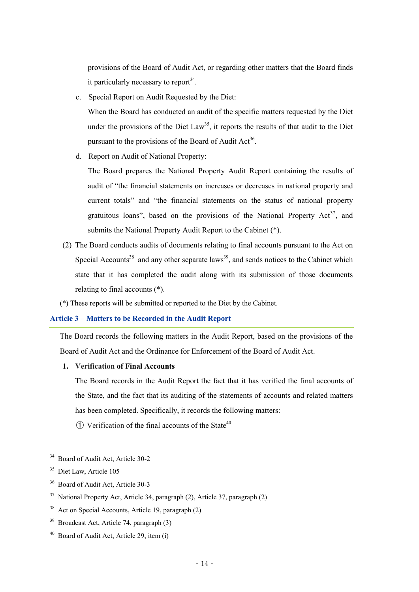provisions of the Board of Audit Act, or regarding other matters that the Board finds it particularly necessary to report<sup>34</sup>.

c. Special Report on Audit Requested by the Diet:

When the Board has conducted an audit of the specific matters requested by the Diet under the provisions of the Diet Law<sup>35</sup>, it reports the results of that audit to the Diet pursuant to the provisions of the Board of Audit Act<sup>36</sup>.

d. Report on Audit of National Property:

The Board prepares the National Property Audit Report containing the results of audit of "the financial statements on increases or decreases in national property and current totals" and "the financial statements on the status of national property gratuitous loans", based on the provisions of the National Property  $Act^{37}$ , and submits the National Property Audit Report to the Cabinet (\*).

- (2) The Board conducts audits of documents relating to final accounts pursuant to the Act on Special Accounts<sup>38</sup> and any other separate laws<sup>39</sup>, and sends notices to the Cabinet which state that it has completed the audit along with its submission of those documents relating to final accounts (\*).
- (\*) These reports will be submitted or reported to the Diet by the Cabinet.

# **Article 3 – Matters to be Recorded in the Audit Report**

The Board records the following matters in the Audit Report, based on the provisions of the Board of Audit Act and the Ordinance for Enforcement of the Board of Audit Act.

#### **1. Verification of Final Accounts**

The Board records in the Audit Report the fact that it has verified the final accounts of the State, and the fact that its auditing of the statements of accounts and related matters has been completed. Specifically, it records the following matters:

 $\odot$  Verification of the final accounts of the State<sup>40</sup>

- <sup>36</sup> Board of Audit Act, Article 30-3
- <sup>37</sup> National Property Act, Article 34, paragraph (2), Article 37, paragraph (2)
- <sup>38</sup> Act on Special Accounts, Article 19, paragraph (2)
- <sup>39</sup> Broadcast Act, Article 74, paragraph (3)
- <sup>40</sup> Board of Audit Act, Article 29, item (i)

<sup>&</sup>lt;sup>34</sup> Board of Audit Act, Article 30-2

<sup>&</sup>lt;sup>35</sup> Diet Law, Article 105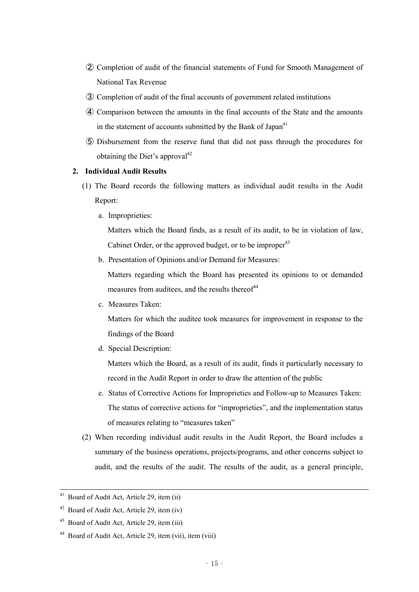- ② Completion of audit of the financial statements of Fund for Smooth Management of National Tax Revenue
- ③ Completion of audit of the final accounts of government related institutions
- ④ Comparison between the amounts in the final accounts of the State and the amounts in the statement of accounts submitted by the Bank of Japan<sup>41</sup>
- ⑤ Disbursement from the reserve fund that did not pass through the procedures for obtaining the Diet's approval<sup>42</sup>

# **2. Individual Audit Results**

- (1) The Board records the following matters as individual audit results in the Audit Report:
	- a. Improprieties:

Matters which the Board finds, as a result of its audit, to be in violation of law, Cabinet Order, or the approved budget, or to be improper<sup>43</sup>

b. Presentation of Opinions and/or Demand for Measures:

Matters regarding which the Board has presented its opinions to or demanded measures from auditees, and the results thereof<sup>44</sup>

c. Measures Taken:

Matters for which the auditee took measures for improvement in response to the findings of the Board

d. Special Description:

Matters which the Board, as a result of its audit, finds it particularly necessary to record in the Audit Report in order to draw the attention of the public

- e. Status of Corrective Actions for Improprieties and Follow-up to Measures Taken: The status of corrective actions for "improprieties", and the implementation status of measures relating to "measures taken"
- (2) When recording individual audit results in the Audit Report, the Board includes a summary of the business operations, projects/programs, and other concerns subject to audit, and the results of the audit. The results of the audit, as a general principle,

<sup>&</sup>lt;sup>41</sup> Board of Audit Act, Article 29, item (ii)

 $42$  Board of Audit Act, Article 29, item (iv)

<sup>43</sup> Board of Audit Act, Article 29, item (iii)

<sup>44</sup> Board of Audit Act, Article 29, item (vii), item (viii)